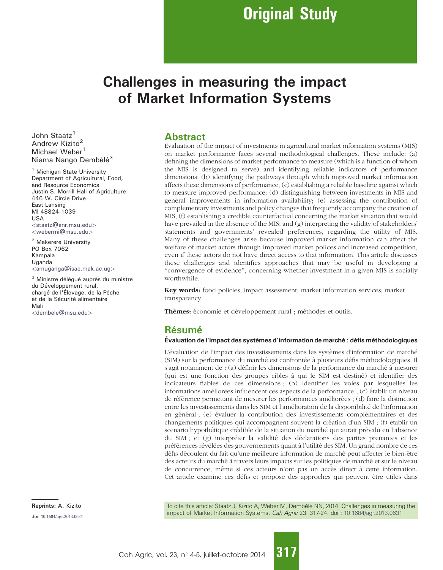# Challenges in measuring the impact of Market Information Systems

John Staatz<sup>1</sup> Andrew Kizito<sup>2</sup> Michael Weber<sup>1</sup> Niama Nango Dembélé<sup>3</sup>

<sup>1</sup> Michigan State University Department of Agricultural, Food, and Resource Economics Justin S. Morrill Hall of Agriculture 446 W. Circle Drive East Lansing MI 48824-1039 USA <[staatz@anr.msu.edu](mailto:staatz@anr.msu.edu)> <[webermi@msu.edu](mailto:webermi@msu.edu)>

<sup>2</sup> Makerere University PO Box 7062 Kampala Uganda <[amuganga@isae.mak.ac.ug](mailto:amuganga@isae.mak.ac.ug)>

<sup>3</sup> Ministre délégué auprès du ministre du Développement rural, chargé de l'Élevage, de la Pêche et de la Sécurité alimentaire Mali <[dembele@msu.edu](mailto:dembele@msu.edu)>

## **Abstract**

Evaluation of the impact of investments in agricultural market information systems (MIS) on market performance faces several methodological challenges. These include: (a) defining the dimensions of market performance to measure (which is a function of whom the MIS is designed to serve) and identifying reliable indicators of performance dimensions; (b) identifying the pathways through which improved market information affects these dimensions of performance; (c) establishing a reliable baseline against which to measure improved performance; (d) distinguishing between investments in MIS and general improvements in information availability; (e) assessing the contribution of complementary investments and policy changes that frequently accompany the creation of MIS; (f) establishing a credible counterfactual concerning the market situation that would have prevailed in the absence of the MIS; and (g) interpreting the validity of stakeholders' statements and governments' revealed preferences, regarding the utility of MIS. Many of these challenges arise because improved market information can affect the welfare of market actors through improved market polices and increased competition, even if these actors do not have direct access to that information. This article discusses these challenges and identifies approaches that may be useful in developing a ''convergence of evidence'', concerning whether investment in a given MIS is socially worthwhile.

Key words: food policies; impact assessment; market information services; market transparency.

Thèmes: économie et développement rural ; méthodes et outils.

## Résumé

### Évaluation de l'impact des systèmes d'information de marché : défis méthodologiques

L'évaluation de l'impact des investissements dans les systèmes d'information de marché (SIM) sur la performance du marché est confrontée à plusieurs défis méthodologiques. Il s'agit notamment de : (a) définir les dimensions de la performance du marché à mesurer (qui est une fonction des groupes cibles a` qui le SIM est destine´) et identifier des indicateurs fiables de ces dimensions ; (b) identifier les voies par lesquelles les informations améliorées influencent ces aspects de la performance ; (c) établir un niveau de référence permettant de mesurer les performances améliorées ; (d) faire la distinction entre les investissements dans les SIM et l'amélioration de la disponibilité de l'information en général ; (e) évaluer la contribution des investissements complémentaires et des changements politiques qui accompagnent souvent la création d'un SIM ; (f) établir un scenario hypothétique crédible de la situation du marché qui aurait prévalu en l'absence du SIM ; et (g) interpréter la validité des déclarations des parties prenantes et les préférences révélées des gouvernements quant à l'utilité des SIM. Un grand nombre de ces défis découlent du fait qu'une meilleure information de marché peut affecter le bien-être des acteurs du marché à travers leurs impacts sur les politiques de marché et sur le niveau de concurrence, même si ces acteurs n'ont pas un accès direct à cette information. Cet article examine ces défis et propose des approches qui peuvent être utiles dans

Reprints: A. Kizito **The Community To cite this article: Staatz J, Kizito A, Weber M, Dembélé NN, 2014. Challenges in measuring the** doi: [10.1684/agr.2013.0631](http://dx.doi.org/10.1684/agr.2013.0631) doi: 10.1684/agr.2013.0631 doi: 10.1684/agr.2013.0631

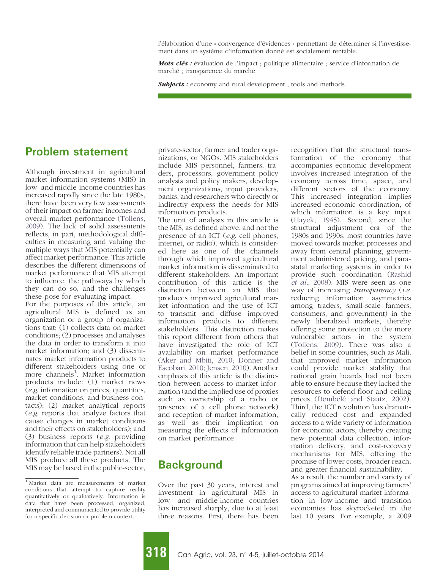l'élaboration d'une « convergence d'évidences » permettant de déterminer si l'investissement dans un système d'information donné est socialement rentable.

Mots clés : évaluation de l'impact ; politique alimentaire ; service d'information de marché ; transparence du marché.

Subjects : economy and rural development ; tools and methods.

## Problem statement

Although investment in agricultural market information systems (MIS) in low- and middle-income countries has increased rapidly since the late 1980s, there have been very few assessments of their impact on farmer incomes and overall market performance ([Tollens,](#page-7-0) [2009\)](#page-7-0). The lack of solid assessments reflects, in part, methodological difficulties in measuring and valuing the multiple ways that MIS potentially can affect market performance. This article describes the different dimensions of market performance that MIS attempt to influence, the pathways by which they can do so, and the challenges these pose for evaluating impact.

For the purposes of this article, an agricultural MIS is defined as an organization or a group of organizations that: (1) collects data on market conditions; (2) processes and analyses the data in order to transform it into market information; and (3) disseminates market information products to different stakeholders using one or more channels<sup>1</sup>. Market information products include: (1) market news (e.g. information on prices, quantities, market conditions, and business contacts); (2) market analytical reports (e.g. reports that analyze factors that cause changes in market conditions and their effects on stakeholders); and (3) business reports (e.g. providing information that can help stakeholders identify reliable trade partners). Not all MIS produce all these products. The MIS may be based in the public-sector,

private-sector, farmer and trader organizations, or NGOs. MIS stakeholders include MIS personnel, farmers, traders, processors, government policy analysts and policy makers, development organizations, input providers, banks, and researchers who directly or indirectly express the needs for MIS information products.

The unit of analysis in this article is the MIS, as defined above, and not the presence of an ICT (e.g. cell phones, internet, or radio), which is considered here as one of the channels through which improved agricultural market information is disseminated to different stakeholders. An important contribution of this article is the distinction between an MIS that produces improved agricultural market information and the use of ICT to transmit and diffuse improved information products to different stakeholders. This distinction makes this report different from others that have investigated the role of ICT availability on market performance [\(Aker and Mbiti, 2010; Donner and](#page-6-0) [Escobari, 2010; Jensen, 2010](#page-6-0)). Another emphasis of this article is the distinction between access to market information (and the implied use of proxies such as ownership of a radio or presence of a cell phone network) and reception of market information, as well as their implication on measuring the effects of information on market performance.

## **Background**

Over the past 30 years, interest and investment in agricultural MIS in low- and middle-income countries has increased sharply, due to at least three reasons. First, there has been recognition that the structural transformation of the economy that accompanies economic development involves increased integration of the economy across time, space, and different sectors of the economy. This increased integration implies increased economic coordination, of which information is a key input ([Hayek, 1945](#page-7-0)). Second, since the structural adjustment era of the 1980s and 1990s, most countries have moved towards market processes and away from central planning, government administered pricing, and parastatal marketing systems in order to provide such coordination [\(Rashid](#page-7-0) et al.[, 2008](#page-7-0)). MIS were seen as one way of increasing *transparency* (*i.e.*) reducing information asymmetries among traders, small-scale farmers, consumers, and government) in the newly liberalized markets, thereby offering some protection to the more vulnerable actors in the system ([Tollens, 2009\)](#page-7-0). There was also a belief in some countries, such as Mali, that improved market information could provide market stability that national grain boards had not been able to ensure because they lacked the resources to defend floor and ceiling prices (Dembélé [and Staatz, 2002\)](#page-7-0). Third, the ICT revolution has dramatically reduced cost and expanded access to a wide variety of information for economic actors, thereby creating new potential data collection, information delivery, and cost-recovery mechanisms for MIS, offering the promise of lower costs, broader reach, and greater financial sustainability.

As a result, the number and variety of programs aimed at improving farmers' access to agricultural market information in low-income and transition economies has skyrocketed in the last 10 years. For example, a 2009

<sup>1</sup> Market data are measurements of market conditions that attempt to capture reality quantitatively or qualitatively. Information is data that have been processed, organized, interpreted and communicated to provide utility for a specific decision or problem context.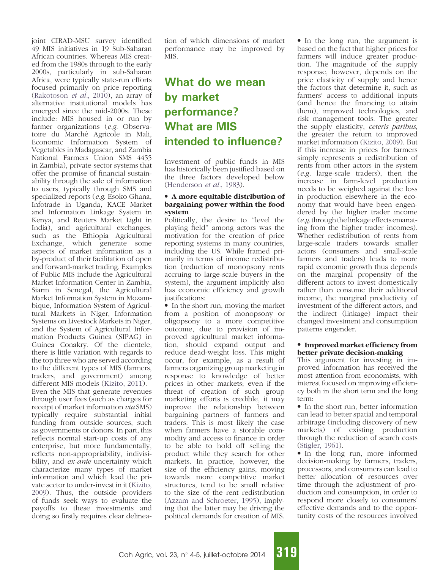joint CIRAD-MSU survey identified 49 MIS initiatives in 19 Sub-Saharan African countries. Whereas MIS created from the 1980s through to the early 2000s, particularly in sub-Saharan Africa, were typically state-run efforts focused primarily on price reporting [\(Rakotoson](#page-7-0) et al., 2010), an array of alternative institutional models has emerged since the mid-2000s. These include: MIS housed in or run by farmer organizations (e.g. Observatoire du Marché Agricole in Mali, Economic Information System of Vegetables in Madagascar, and Zambia National Farmers Union SMS 4455 in Zambia), private-sector systems that offer the promise of financial sustainability through the sale of information to users, typically through SMS and specialized reports (e.g. Esoko Ghana, Infotrade in Uganda, KACE Market and Information Linkage System in Kenya, and Reuters Market Light in India), and agricultural exchanges, such as the Ethiopia Agricultural Exchange, which generate some aspects of market information as a by-product of their facilitation of open and forward-market trading. Examples of Public MIS include the Agricultural Market Information Center in Zambia, Siarm in Senegal, the Agricultural Market Information System in Mozambique, Information System of Agricultural Markets in Niger, Information Systems on Livestock Markets in Niger, and the System of Agricultural Information Products Guinea (SIPAG) in Guinea Conakry. Of the clientele, there is little variation with regards to the top three who are served according to the different types of MIS (farmers, traders, and government) among different MIS models ([Kizito, 2011\)](#page-7-0). Even the MIS that generate revenues through user fees (such as charges for receipt of market information via SMS) typically require substantial initial funding from outside sources, such as governments or donors. In part, this reflects normal start-up costs of any enterprise, but more fundamentally, reflects non-appropriability, indivisibility, and *ex-ante* uncertainty which characterize many types of market information and which lead the private sector to under-invest in it ([Kizito,](#page-7-0) [2009](#page-7-0)). Thus, the outside providers of funds seek ways to evaluate the payoffs to these investments and doing so firstly requires clear delineation of which dimensions of market performance may be improved by MIS.

# What do we mean by market performance? What are MIS intended to influence?

Investment of public funds in MIS has historically been justified based on the three factors developed below ([Henderson](#page-7-0) et al., 1983).

### A more equitable distribution of bargaining power within the food system

Politically, the desire to ''level the playing field'' among actors was the motivation for the creation of price reporting systems in many countries, including the US. While framed primarily in terms of income redistribution (reduction of monopsony rents accruing to large-scale buyers in the system), the argument implicitly also has economic efficiency and growth justifications:

• In the short run, moving the market from a position of monopsony or oligopsony to a more competitive outcome, due to provision of improved agricultural market information, should expand output and reduce dead-weight loss. This might occur, for example, as a result of farmers organizing group marketing in response to knowledge of better prices in other markets; even if the threat of creation of such group marketing efforts is credible, it may improve the relationship between bargaining partners of farmers and traders. This is most likely the case when farmers have a storable commodity and access to finance in order to be able to hold off selling the product while they search for other markets. In practice, however, the size of the efficiency gains, moving towards more competitive market structures, tend to be small relative to the size of the rent redistribution ([Azzam and Schroeter, 1995\)](#page-7-0), implying that the latter may be driving the political demands for creation of MIS.

• In the long run, the argument is based on the fact that higher prices for farmers will induce greater production. The magnitude of the supply response, however, depends on the price elasticity of supply and hence the factors that determine it, such as farmers' access to additional inputs (and hence the financing to attain them), improved technologies, and risk management tools. The greater the supply elasticity, ceteris paribus, the greater the return to improved market information ([Kizito, 2009\)](#page-7-0). But if this increase in prices for farmers simply represents a redistribution of rents from other actors in the system (e.g. large-scale traders), then the increase in farm-level production needs to be weighed against the loss in production elsewhere in the economy that would have been engendered by the higher trader income  $(e.g.$  through the linkage effects emanating from the higher trader incomes). Whether redistribution of rents from large-scale traders towards smaller actors (consumers and small-scale farmers and traders) leads to more rapid economic growth thus depends on the marginal propensity of the different actors to invest domestically rather than consume their additional income, the marginal productivity of investment of the different actors, and the indirect (linkage) impact their changed investment and consumption patterns engender.

#### Improved market efficiency from better private decision-making

This argument for investing in improved information has received the most attention from economists, with interest focused on improving efficiency both in the short term and the long term:

• In the short run, better information can lead to better spatial and temporal arbitrage (including discovery of new markets) of existing production through the reduction of search costs [\(Stigler, 1961\)](#page-7-0).

• In the long run, more informed decision-making by farmers, traders, processors, and consumers can lead to better allocation of resources over time through the adjustment of production and consumption, in order to respond more closely to consumers' effective demands and to the opportunity costs of the resources involved

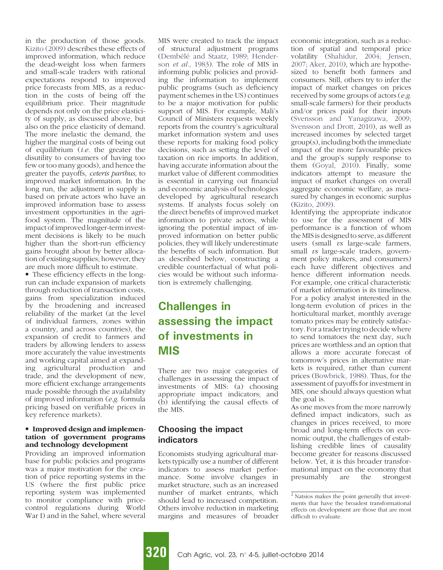<span id="page-3-0"></span>in the production of those goods. [Kizito \(2009\)](#page-7-0) describes these effects of improved information, which reduce the dead-weight loss when farmers and small-scale traders with rational expectations respond to improved price forecasts from MIS, as a reduction in the costs of being off the equilibrium price. Their magnitude depends not only on the price elasticity of supply, as discussed above, but also on the price elasticity of demand. The more inelastic the demand, the higher the marginal costs of being out of equilibrium (i.e. the greater the disutility to consumers of having too few or too many goods), and hence the greater the payoffs, ceteris paribus, to improved market information. In the long run, the adjustment in supply is based on private actors who have an improved information base to assess investment opportunities in the agrifood system. The magnitude of the impact of improved longer-term investment decisions is likely to be much higher than the short-run efficiency gains brought about by better allocation of existing supplies; however, they are much more difficult to estimate.

• These efficiency effects in the longrun can include expansion of markets through reduction of transaction costs, gains from specialization induced by the broadening and increased reliability of the market (at the level of individual farmers, zones within a country, and across countries), the expansion of credit to farmers and traders by allowing lenders to assess more accurately the value investments and working capital aimed at expanding agricultural production and trade, and the development of new, more efficient exchange arrangements made possible through the availability of improved information (e.g. formula pricing based on verifiable prices in key reference markets).

#### • Improved design and implementation of government programs and technology development

Providing an improved information base for public policies and programs was a major motivation for the creation of price reporting systems in the US (where the first public price reporting system was implemented to monitor compliance with pricecontrol regulations during World War I) and in the Sahel, where several

MIS were created to track the impact of structural adjustment programs (Dembélé [and Staatz, 1989; Hender](#page-7-0)son et al.[, 1983](#page-7-0)). The role of MIS in informing public policies and providing the information to implement public programs (such as deficiency payment schemes in the US) continues to be a major motivation for public support of MIS. For example, Mali's Council of Ministers requests weekly reports from the country's agricultural market information system and uses these reports for making food policy decisions, such as setting the level of taxation on rice imports. In addition, having accurate information about the market value of different commodities is essential in carrying out financial and economic analysis of technologies developed by agricultural research systems. If analysts focus solely on the direct benefits of improved market information to private actors, while ignoring the potential impact of improved information on better public policies, they will likely underestimate the benefits of such information. But as described below, constructing a credible counterfactual of what policies would be without such information is extremely challenging.

# Challenges in assessing the impact of investments in MIS

There are two major categories of challenges in assessing the impact of investments of MIS: (a) choosing appropriate impact indicators; and (b) identifying the causal effects of the MIS.

## Choosing the impact indicators

Economists studying agricultural markets typically use a number of different indicators to assess market performance. Some involve changes in market structure, such as an increased number of market entrants, which should lead to increased competition. Others involve reduction in marketing margins and measures of broader economic integration, such as a reduction of spatial and temporal price volatility [\(Shahidur, 2004; Jensen,](#page-7-0) [2007; Aker, 2010](#page-7-0)), which are hypothesized to benefit both farmers and consumers. Still, others try to infer the impact of market changes on prices received by some groups of actors (e.g. small-scale farmers) for their products and/or prices paid for their inputs ([Svensson and Yanagizawa, 2009;](#page-7-0) [Svensson and Drott, 2010\)](#page-7-0), as well as increased incomes by selected target group(s), including both the immediate impact of the more favourable prices and the group's supply response to them ([Goyal, 2010](#page-7-0)). Finally, some indicators attempt to measure the impact of market changes on overall aggregate economic welfare, as measured by changes in economic surplus ([Kizito, 2009](#page-7-0)).

Identifying the appropriate indicator to use for the assessment of MIS performance is a function of whom the MIS is designed to serve, as different users (small  $\mathit{vs}$  large-scale farmers, small *vs* large-scale traders, government policy makers, and consumers) each have different objectives and hence different information needs. For example, one critical characteristic of market information is its timeliness. For a policy analyst interested in the long-term evolution of prices in the horticultural market, monthly average tomato prices may be entirely satisfactory. For a trader trying to decide where to send tomatoes the next day, such prices are worthless and an option that allows a more accurate forecast of tomorrow's prices in alternative markets is required, rather than current prices ([Bowbrick, 1988](#page-7-0)). Thus, for the assessment of payoffs for investment in MIS, one should always question what the goal is.

As one moves from the more narrowly defined impact indicators, such as changes in prices received, to more broad and long-term effects on economic output, the challenges of establishing credible lines of causality become greater for reasons discussed below. Yet, it is this broader transformational impact on the economy that<br>presumably are the strongest presumably are the strongest



<sup>2</sup> Natsios makes the point generally that investments that have the broadest transformational effects on development are those that are most difficult to evaluate.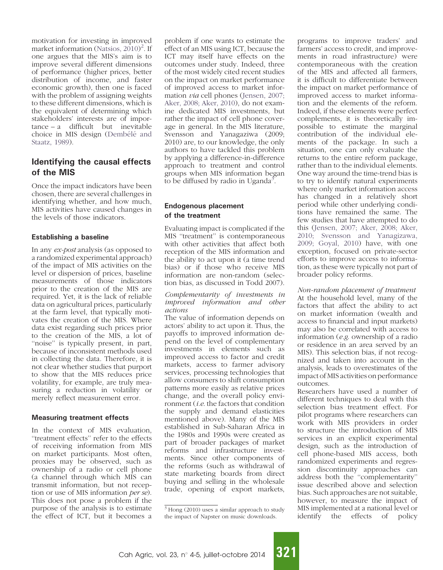motivation for investing in improved market information [\(Natsios, 2010\)](#page-7-0) [2](#page-3-0) . If one argues that the MIS's aim is to improve several different dimensions of performance (higher prices, better distribution of income, and faster economic growth), then one is faced with the problem of assigning weights to these different dimensions, which is the equivalent of determining which stakeholders' interests are of impor $tance - a$  difficult but inevitable choice in MIS design (Dembélé and [Staatz, 1989\)](#page-7-0).

## Identifying the causal effects of the MIS

Once the impact indicators have been chosen, there are several challenges in identifying whether, and how much, MIS activities have caused changes in the levels of those indicators.

## Establishing a baseline

In any ex-post analysis (as opposed to a randomized experimental approach) of the impact of MIS activities on the level or dispersion of prices, baseline measurements of those indicators prior to the creation of the MIS are required. Yet, it is the lack of reliable data on agricultural prices, particularly at the farm level, that typically motivates the creation of the MIS. Where data exist regarding such prices prior to the creation of the MIS, a lot of "noise" is typically present, in part, because of inconsistent methods used in collecting the data. Therefore, it is not clear whether studies that purport to show that the MIS reduces price volatility, for example, are truly measuring a reduction in volatility or merely reflect measurement error.

### Measuring treatment effects

In the context of MIS evaluation, ''treatment effects'' refer to the effects of receiving information from MIS on market participants. Most often, proxies may be observed, such as ownership of a radio or cell phone (a channel through which MIS can transmit information, but not reception or use of MIS information per se). This does not pose a problem if the purpose of the analysis is to estimate the effect of ICT, but it becomes a

problem if one wants to estimate the effect of an MIS using ICT, because the ICT may itself have effects on the outcomes under study. Indeed, three of the most widely cited recent studies on the impact on market performance of improved access to market information via cell phones [\(Jensen, 2007;](#page-7-0) [Aker, 2008; Aker, 2010\)](#page-7-0), do not examine dedicated MIS investments, but rather the impact of cell phone coverage in general. In the MIS literature, Svensson and Yanagaziwa (2009; 2010) are, to our knowledge, the only authors to have tackled this problem by applying a difference-in-difference approach to treatment and control groups when MIS information began to be diffused by radio in Uganda<sup>3</sup>.

## Endogenous placement of the treatment

Evaluating impact is complicated if the MIS ''treatment'' is contemporaneous with other activities that affect both reception of the MIS information and the ability to act upon it (a time trend bias) or if those who receive MIS information are non-random (selection bias, as discussed in Todd 2007).

#### Complementarity of investments in improved information and other actions

The value of information depends on actors' ability to act upon it. Thus, the payoffs to improved information depend on the level of complementary investments in elements such as improved access to factor and credit markets, access to farmer advisory services, processing technologies that allow consumers to shift consumption patterns more easily as relative prices change, and the overall policy environment (i.e. the factors that condition the supply and demand elasticities mentioned above). Many of the MIS established in Sub-Saharan Africa in the 1980s and 1990s were created as part of broader packages of market reforms and infrastructure investments. Since other components of the reforms (such as withdrawal of state marketing boards from direct buying and selling in the wholesale trade, opening of export markets,

programs to improve traders' and farmers' access to credit, and improvements in road infrastructure) were contemporaneous with the creation of the MIS and affected all farmers, it is difficult to differentiate between the impact on market performance of improved access to market information and the elements of the reform. Indeed, if these elements were perfect complements, it is theoretically impossible to estimate the marginal contribution of the individual elements of the package. In such a situation, one can only evaluate the returns to the entire reform package, rather than to the individual elements. One way around the time-trend bias is to try to identify natural experiments where only market information access has changed in a relatively short period while other underlying conditions have remained the same. The few studies that have attempted to do this ([Jensen, 2007; Aker, 2008; Aker,](#page-7-0) [2010; Svensson and Yanagizawa,](#page-7-0) [2009; Goyal, 2010\)](#page-7-0) have, with one exception, focused on private-sector efforts to improve access to information, as these were typically not part of broader policy reforms.

Non-random placement of treatment At the household level, many of the factors that affect the ability to act on market information (wealth and access to financial and input markets) may also be correlated with access to information (e.g. ownership of a radio or residence in an area served by an MIS). This selection bias, if not recognized and taken into account in the analysis, leads to overestimates of the impact of MIS activities on performance outcomes.

Researchers have used a number of different techniques to deal with this selection bias treatment effect. For pilot programs where researchers can work with MIS providers in order to structure the introduction of MIS services in an explicit experimental design, such as the introduction of cell phone-based MIS access, both randomized experiments and regression discontinuity approaches can address both the ''complementarity'' issue described above and selection bias. Such approaches are not suitable, however, to measure the impact of MIS implemented at a national level or identify the effects of policy



 $3$  Hong (2010) uses a similar approach to study the impact of Napster on music downloads.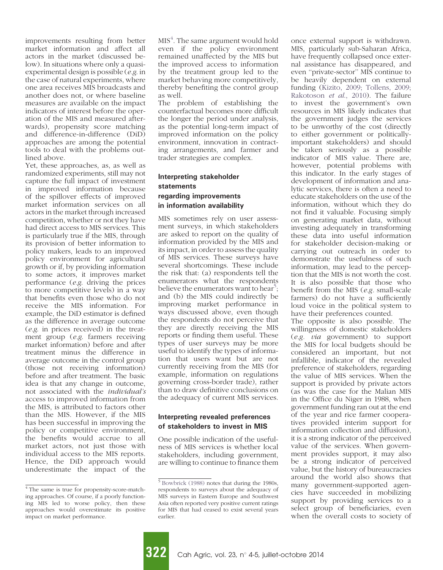improvements resulting from better market information and affect all actors in the market (discussed below). In situations where only a quasiexperimental design is possible (e.g. in the case of natural experiments, where one area receives MIS broadcasts and another does not, or where baseline measures are available on the impact indicators of interest before the operation of the MIS and measured afterwards), propensity score matching and difference-in-difference (DiD) approaches are among the potential tools to deal with the problems outlined above.

Yet, these approaches, as, as well as randomized experiments, still may not capture the full impact of investment in improved information because of the spillover effects of improved market information services on all actors in the market through increased competition, whether or not they have had direct access to MIS services. This is particularly true if the MIS, through its provision of better information to policy makers, leads to an improved policy environment for agricultural growth or if, by providing information to some actors, it improves market performance (e.g. driving the prices to more competitive levels) in a way that benefits even those who do not receive the MIS information. For example, the DiD estimator is defined as the difference in average outcome (e.g. in prices received) in the treatment group (e.g. farmers receiving market information) before and after treatment minus the difference in average outcome in the control group (those not receiving information) before and after treatment. The basic idea is that any change in outcome, not associated with the individual's access to improved information from the MIS, is attributed to factors other than the MIS. However, if the MIS has been successful in improving the policy or competitive environment, the benefits would accrue to all market actors, not just those with individual access to the MIS reports. Hence, the DiD approach would underestimate the impact of the

 $\mathrm{MIS}^4$ . The same argument would hold even if the policy environment remained unaffected by the MIS but the improved access to information by the treatment group led to the market behaving more competitively, thereby benefiting the control group as well.

The problem of establishing the counterfactual becomes more difficult the longer the period under analysis, as the potential long-term impact of improved information on the policy environment, innovation in contracting arrangements, and farmer and trader strategies are complex.

## Interpreting stakeholder statements regarding improvements in information availability

MIS sometimes rely on user assessment surveys, in which stakeholders are asked to report on the quality of information provided by the MIS and its impact, in order to assess the quality of MIS services. These surveys have several shortcomings. These include the risk that: (a) respondents tell the enumerators what the respondents believe the enumerators want to hear<sup>5</sup>; and (b) the MIS could indirectly be improving market performance in ways discussed above, even though the respondents do not perceive that they are directly receiving the MIS reports or finding them useful. These types of user surveys may be more useful to identify the types of information that users want but are not currently receiving from the MIS (for example, information on regulations governing cross-border trade), rather than to draw definitive conclusions on the adequacy of current MIS services.

## Interpreting revealed preferences of stakeholders to invest in MIS

One possible indication of the usefulness of MIS services is whether local stakeholders, including government, are willing to continue to finance them once external support is withdrawn. MIS, particularly sub-Saharan Africa, have frequently collapsed once external assistance has disappeared, and even ''private-sector'' MIS continue to be heavily dependent on external funding ([Kizito, 2009; Tollens, 2009;](#page-7-0) [Rakotoson](#page-7-0) et al., 2010). The failure to invest the government's own resources in MIS likely indicates that the government judges the services to be unworthy of the cost (directly to either government or politicallyimportant stakeholders) and should be taken seriously as a possible indicator of MIS value. There are, however, potential problems with this indicator. In the early stages of development of information and analytic services, there is often a need to educate stakeholders on the use of the information, without which they do not find it valuable. Focusing simply on generating market data, without investing adequately in transforming these data into useful information for stakeholder decision-making or carrying out outreach in order to demonstrate the usefulness of such information, may lead to the perception that the MIS is not worth the cost. It is also possible that those who benefit from the MIS (e.g. small-scale farmers) do not have a sufficiently loud voice in the political system to have their preferences counted.

The opposite is also possible. The willingness of domestic stakeholders (e.g. via government) to support the MIS for local budgets should be considered an important, but not infallible, indicator of the revealed preference of stakeholders, regarding the value of MIS services. When the support is provided by private actors (as was the case for the Malian MIS in the Office du Niger in 1988, when government funding ran out at the end of the year and rice farmer cooperatives provided interim support for information collection and diffusion), it is a strong indicator of the perceived value of the services. When government provides support, it may also be a strong indicator of perceived value, but the history of bureaucracies around the world also shows that many government-supported agencies have succeeded in mobilizing support by providing services to a select group of beneficiaries, even when the overall costs to society of

<sup>&</sup>lt;sup>4</sup> The same is true for propensity-score-matching approaches. Of course, if a poorly functioning MIS led to worse policy, then these approaches would overestimate its positive impact on market performance.

<sup>5</sup> [Bowbrick \(1988\)](#page-7-0) notes that during the 1980s, respondents to surveys about the adequacy of MIS surveys in Eastern Europe and Southwest Asia often reported very positive current ratings for MIS that had ceased to exist several years earlier.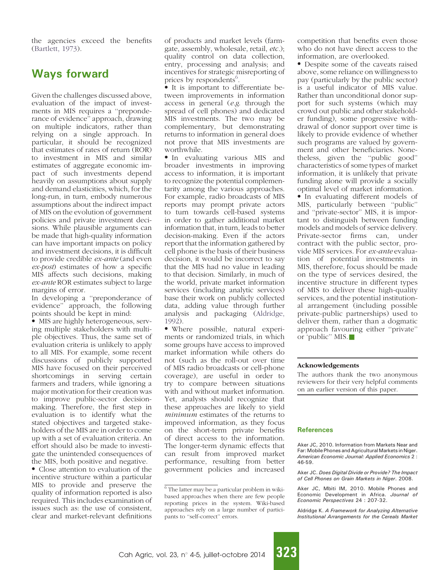<span id="page-6-0"></span>the agencies exceed the benefits [\(Bartlett, 1973\)](#page-7-0).

## Ways forward

Given the challenges discussed above, evaluation of the impact of investments in MIS requires a ''preponderance of evidence'' approach, drawing on multiple indicators, rather than relying on a single approach. In particular, it should be recognized that estimates of rates of return (ROR) to investment in MIS and similar estimates of aggregate economic impact of such investments depend heavily on assumptions about supply and demand elasticities, which, for the long-run, in turn, embody numerous assumptions about the indirect impact of MIS on the evolution of government policies and private investment decisions. While plausible arguments can be made that high-quality information can have important impacts on policy and investment decisions, it is difficult to provide credible ex-ante (and even ex-post) estimates of how a specific MIS affects such decisions, making ex-ante ROR estimates subject to large margins of error.

In developing a ''preponderance of evidence'' approach, the following points should be kept in mind:

 MIS are highly heterogeneous, serving multiple stakeholders with multiple objectives. Thus, the same set of evaluation criteria is unlikely to apply to all MIS. For example, some recent discussions of publicly supported MIS have focused on their perceived shortcomings in serving certain farmers and traders, while ignoring a major motivation for their creation was to improve public-sector decisionmaking. Therefore, the first step in evaluation is to identify what the stated objectives and targeted stakeholders of the MIS are in order to come up with a set of evaluation criteria. An effort should also be made to investigate the unintended consequences of the MIS, both positive and negative.

• Close attention to evaluation of the incentive structure within a particular MIS to provide and preserve the quality of information reported is also required. This includes examination of issues such as: the use of consistent, clear and market-relevant definitions

of products and market levels (farmgate, assembly, wholesale, retail, etc.); quality control on data collection, entry, processing and analysis; and incentives for strategic misreporting of prices by respondents<sup>6</sup>.

 It is important to differentiate between improvements in information access in general (e.g. through the spread of cell phones) and dedicated MIS investments. The two may be complementary, but demonstrating returns to information in general does not prove that MIS investments are worthwhile.

 In evaluating various MIS and broader investments in improving access to information, it is important to recognize the potential complementarity among the various approaches. For example, radio broadcasts of MIS reports may prompt private actors to turn towards cell-based systems in order to gather additional market information that, in turn, leads to better decision-making. Even if the actors report that the information gathered by cell phone is the basis of their business decision, it would be incorrect to say that the MIS had no value in leading to that decision. Similarly, in much of the world, private market information services (including analytic services) base their work on publicly collected data, adding value through further analysis and packaging (Aldridge, 1992).

 Where possible, natural experiments or randomized trials, in which some groups have access to improved market information while others do not (such as the roll-out over time of MIS radio broadcasts or cell-phone coverage), are useful in order to try to compare between situations with and without market information. Yet, analysts should recognize that these approaches are likely to yield minimum estimates of the returns to improved information, as they focus on the short-term private benefits of direct access to the information. The longer-term dynamic effects that can result from improved market performance, resulting from better government policies and increased

competition that benefits even those who do not have direct access to the information, are overlooked.

• Despite some of the caveats raised above, some reliance on willingness to pay (particularly by the public sector) is a useful indicator of MIS value. Rather than unconditional donor support for such systems (which may crowd out public and other stakeholder funding), some progressive withdrawal of donor support over time is likely to provide evidence of whether such programs are valued by government and other beneficiaries. Nonetheless, given the ''public good'' characteristics of some types of market information, it is unlikely that private funding alone will provide a socially optimal level of market information.

• In evaluating different models of MIS, particularly between ''public'' and ''private-sector'' MIS, it is important to distinguish between funding models and models of service delivery. Private-sector firms can, under contract with the public sector, provide MIS services. For ex-ante evaluation of potential investments in MIS, therefore, focus should be made on the type of services desired, the incentive structure in different types of MIS to deliver these high-quality services, and the potential institutional arrangement (including possible private-public partnerships) used to deliver them, rather than a dogmatic approach favouring either ''private'' or 'public'' MIS.

#### Acknowledgements

The authors thank the two anonymous reviewers for their very helpful comments on an earlier version of this paper.

#### **References**

Aker JC, 2010. Information from Markets Near and Far: Mobile Phones and Agricultural Markets in Niger. American Economic Journal: Applied Economics 2 : 46-59.

Aker JC. Does Digital Divide or Provide? The Impact of Cell Phones on Grain Markets in Niger. 2008.

Aker JC, Mbiti IM, 2010. Mobile Phones and Economic Development in Africa. Journal of Economic Perspectives 24 : 207-32.

Aldridge K. A Framework for Analyzing Alternative Institutional Arrangements for the Cereals Market

 $6$  The latter may be a particular problem in wikibased approaches when there are few people reporting prices in the system. Wiki-based approaches rely on a large number of participants to ''self-correct'' errors.